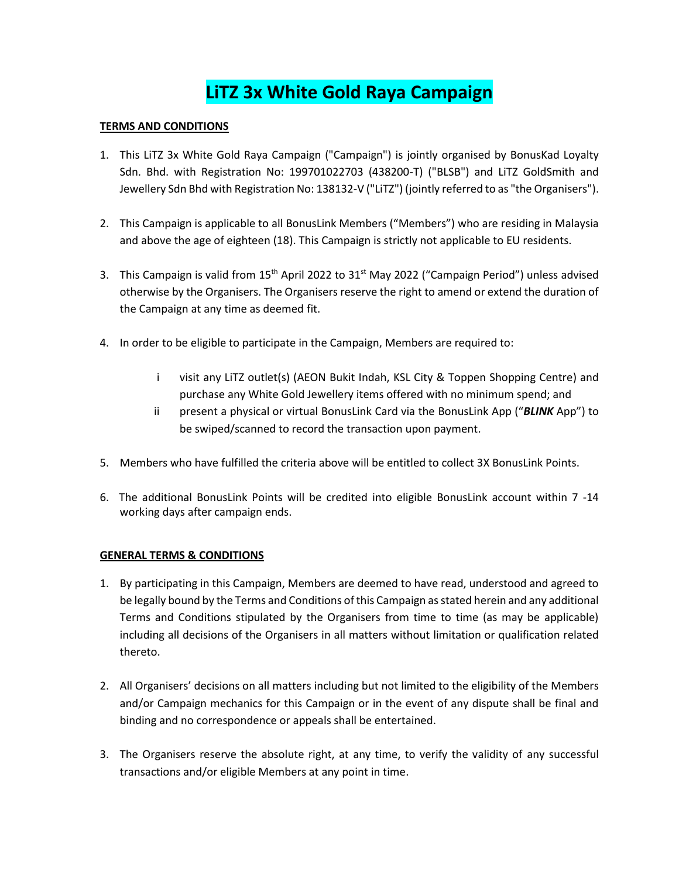## **LiTZ 3x White Gold Raya Campaign**

## **TERMS AND CONDITIONS**

- 1. This LiTZ 3x White Gold Raya Campaign ("Campaign") is jointly organised by BonusKad Loyalty Sdn. Bhd. with Registration No: 199701022703 (438200-T) ("BLSB") and LiTZ GoldSmith and Jewellery Sdn Bhd with Registration No: 138132-V ("LiTZ") (jointly referred to as "the Organisers").
- 2. This Campaign is applicable to all BonusLink Members ("Members") who are residing in Malaysia and above the age of eighteen (18). This Campaign is strictly not applicable to EU residents.
- 3. This Campaign is valid from 15<sup>th</sup> April 2022 to 31<sup>st</sup> May 2022 ("Campaign Period") unless advised otherwise by the Organisers. The Organisers reserve the right to amend or extend the duration of the Campaign at any time as deemed fit.
- 4. In order to be eligible to participate in the Campaign, Members are required to:
	- i visit any LiTZ outlet(s) (AEON Bukit Indah, KSL City & Toppen Shopping Centre) and purchase any White Gold Jewellery items offered with no minimum spend; and
	- ii present a physical or virtual BonusLink Card via the BonusLink App ("*BLINK* App") to be swiped/scanned to record the transaction upon payment.
- 5. Members who have fulfilled the criteria above will be entitled to collect 3X BonusLink Points.
- 6. The additional BonusLink Points will be credited into eligible BonusLink account within 7 -14 working days after campaign ends.

## **GENERAL TERMS & CONDITIONS**

- 1. By participating in this Campaign, Members are deemed to have read, understood and agreed to be legally bound by the Terms and Conditions of this Campaign as stated herein and any additional Terms and Conditions stipulated by the Organisers from time to time (as may be applicable) including all decisions of the Organisers in all matters without limitation or qualification related thereto.
- 2. All Organisers' decisions on all matters including but not limited to the eligibility of the Members and/or Campaign mechanics for this Campaign or in the event of any dispute shall be final and binding and no correspondence or appeals shall be entertained.
- 3. The Organisers reserve the absolute right, at any time, to verify the validity of any successful transactions and/or eligible Members at any point in time.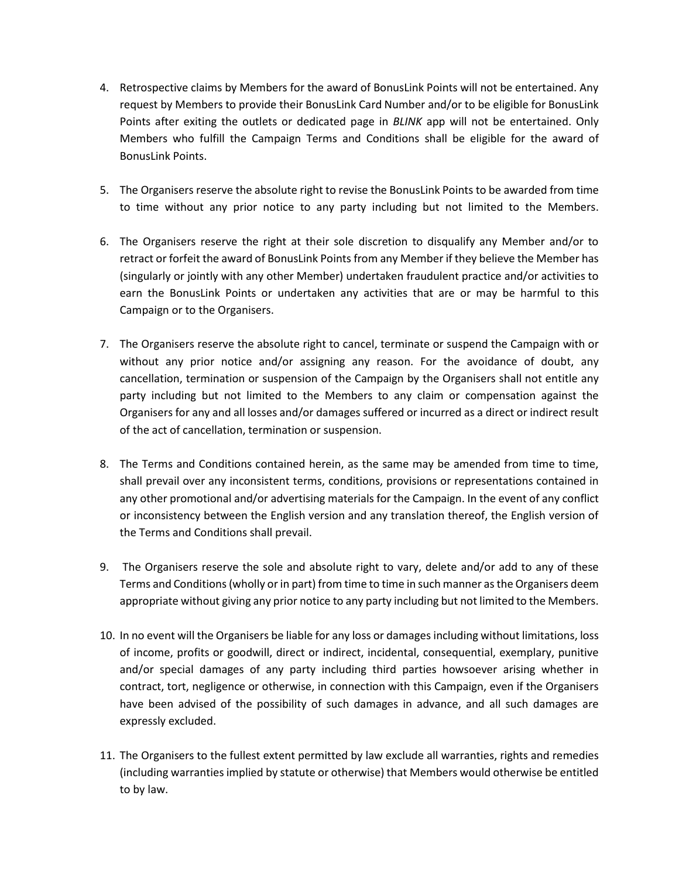- 4. Retrospective claims by Members for the award of BonusLink Points will not be entertained. Any request by Members to provide their BonusLink Card Number and/or to be eligible for BonusLink Points after exiting the outlets or dedicated page in *BLINK* app will not be entertained. Only Members who fulfill the Campaign Terms and Conditions shall be eligible for the award of BonusLink Points.
- 5. The Organisers reserve the absolute right to revise the BonusLink Points to be awarded from time to time without any prior notice to any party including but not limited to the Members.
- 6. The Organisers reserve the right at their sole discretion to disqualify any Member and/or to retract or forfeit the award of BonusLink Points from any Member if they believe the Member has (singularly or jointly with any other Member) undertaken fraudulent practice and/or activities to earn the BonusLink Points or undertaken any activities that are or may be harmful to this Campaign or to the Organisers.
- 7. The Organisers reserve the absolute right to cancel, terminate or suspend the Campaign with or without any prior notice and/or assigning any reason. For the avoidance of doubt, any cancellation, termination or suspension of the Campaign by the Organisers shall not entitle any party including but not limited to the Members to any claim or compensation against the Organisers for any and all losses and/or damages suffered or incurred as a direct or indirect result of the act of cancellation, termination or suspension.
- 8. The Terms and Conditions contained herein, as the same may be amended from time to time, shall prevail over any inconsistent terms, conditions, provisions or representations contained in any other promotional and/or advertising materials for the Campaign. In the event of any conflict or inconsistency between the English version and any translation thereof, the English version of the Terms and Conditions shall prevail.
- 9. The Organisers reserve the sole and absolute right to vary, delete and/or add to any of these Terms and Conditions(wholly or in part) from time to time in such manner as the Organisers deem appropriate without giving any prior notice to any party including but not limited to the Members.
- 10. In no event will the Organisers be liable for any loss or damages including without limitations, loss of income, profits or goodwill, direct or indirect, incidental, consequential, exemplary, punitive and/or special damages of any party including third parties howsoever arising whether in contract, tort, negligence or otherwise, in connection with this Campaign, even if the Organisers have been advised of the possibility of such damages in advance, and all such damages are expressly excluded.
- 11. The Organisers to the fullest extent permitted by law exclude all warranties, rights and remedies (including warranties implied by statute or otherwise) that Members would otherwise be entitled to by law.